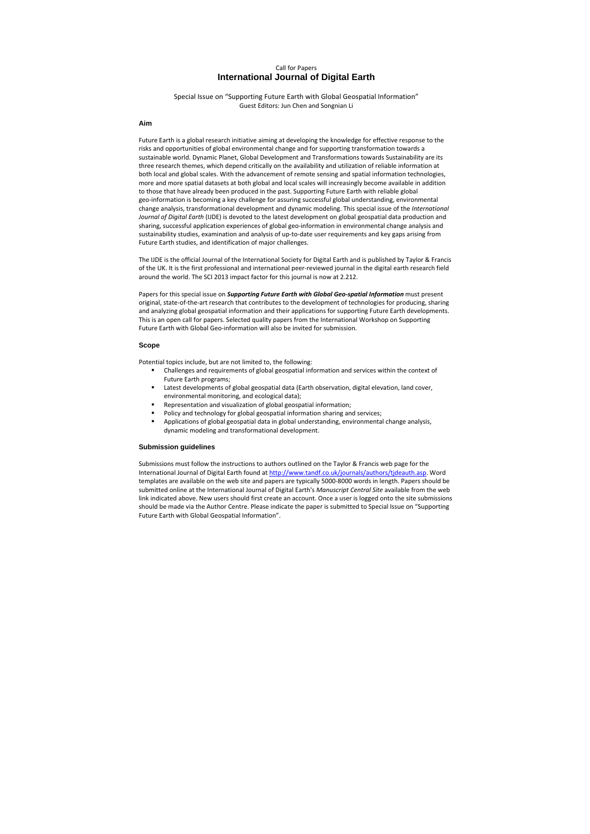# Call for Papers **International Journal of Digital Earth**

Special Issue on "Supporting Future Earth with Global Geospatial Information" Guest Editors: Jun Chen and Songnian Li

## **Aim**

Future Earth is a global research initiative aiming at developing the knowledge for effective response to the risks and opportunities of global environmental change and for supporting transformation towards a sustainable world. Dynamic Planet, Global Development and Transformations towards Sustainability are its three research themes, which depend critically on the availability and utilization of reliable information at both local and global scales. With the advancement of remote sensing and spatial information technologies, more and more spatial datasets at both global and local scales will increasingly become available in addition to those that have already been produced in the past. Supporting Future Earth with reliable global geo-information is becoming a key challenge for assuring successful global understanding, environmental change analysis, transformational development and dynamic modeling. This special issue of the *International Journal of Digital Earth* (IJDE) is devoted to the latest development on global geospatial data production and sharing, successful application experiences of global geo-information in environmental change analysis and sustainability studies, examination and analysis of up-to-date user requirements and key gaps arising from Future Earth studies, and identification of major challenges.

The IJDE is the official Journal of the International Society for Digital Earth and is published by Taylor & Francis of the UK. It is the first professional and international peer-reviewed journal in the digital earth research field around the world. The SCI 2013 impact factor for this journal is now at 2.212.

Papers for this special issue on *Supporting Future Earth with Global Geo-spatial Information* must present original, state-of-the-art research that contributes to the development of technologies for producing, sharing and analyzing global geospatial information and their applications for supporting Future Earth developments. This is an open call for papers. Selected quality papers from the International Workshop on Supporting Future Earth with Global Geo-information will also be invited for submission.

#### **Scope**

Potential topics include, but are not limited to, the following:

- Challenges and requirements of global geospatial information and services within the context of Future Earth programs;
- **EXECT Latest developments of global geospatial data (Earth observation, digital elevation, land cover,** environmental monitoring, and ecological data);
- **Representation and visualization of global geospatial information;**
- Policy and technology for global geospatial information sharing and services;
- Applications of global geospatial data in global understanding, environmental change analysis, dynamic modeling and transformational development.

#### **Submission guidelines**

Submissions must follow the instructions to authors outlined on the Taylor & Francis web page for the International Journal of Digital Earth found at http://www.tandf.co.uk/journals/authors/tjdeauth.asp. Word templates are available on the web site and papers are typically 5000-8000 words in length. Papers should be submitted online at the International Journal of Digital Earth's *Manuscript Central Site* available from the web link indicated above. New users should first create an account. Once a user is logged onto the site submissions should be made via the Author Centre. Please indicate the paper is submitted to Special Issue on "Supporting Future Earth with Global Geospatial Information".